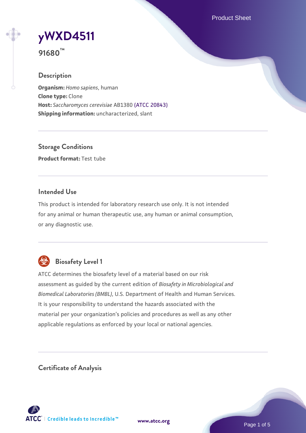Product Sheet

# **[yWXD4511](https://www.atcc.org/products/91680)**

**91680™**

# **Description**

**Organism:** *Homo sapiens*, human **Clone type:** Clone **Host:** *Saccharomyces cerevisiae* AB1380 [\(ATCC 20843\)](https://www.atcc.org/products/20843) **Shipping information:** uncharacterized, slant

**Storage Conditions Product format:** Test tube

# **Intended Use**

This product is intended for laboratory research use only. It is not intended for any animal or human therapeutic use, any human or animal consumption, or any diagnostic use.



# **Biosafety Level 1**

ATCC determines the biosafety level of a material based on our risk assessment as guided by the current edition of *Biosafety in Microbiological and Biomedical Laboratories (BMBL)*, U.S. Department of Health and Human Services. It is your responsibility to understand the hazards associated with the material per your organization's policies and procedures as well as any other applicable regulations as enforced by your local or national agencies.

**Certificate of Analysis**

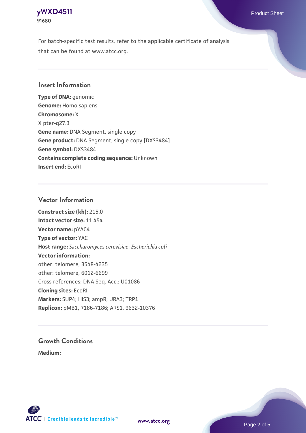# **[yWXD4511](https://www.atcc.org/products/91680)** Product Sheet **91680**

For batch-specific test results, refer to the applicable certificate of analysis that can be found at www.atcc.org.

# **Insert Information**

**Type of DNA:** genomic **Genome:** Homo sapiens **Chromosome:** X X pter-q27.3 **Gene name:** DNA Segment, single copy **Gene product:** DNA Segment, single copy [DXS3484] **Gene symbol:** DXS3484 **Contains complete coding sequence:** Unknown **Insert end:** EcoRI

# **Vector Information**

**Construct size (kb):** 215.0 **Intact vector size:** 11.454 **Vector name:** pYAC4 **Type of vector:** YAC **Host range:** *Saccharomyces cerevisiae*; *Escherichia coli* **Vector information:** other: telomere, 3548-4235 other: telomere, 6012-6699 Cross references: DNA Seq. Acc.: U01086 **Cloning sites:** EcoRI **Markers:** SUP4; HIS3; ampR; URA3; TRP1 **Replicon:** pMB1, 7186-7186; ARS1, 9632-10376

# **Growth Conditions**

**Medium:** 



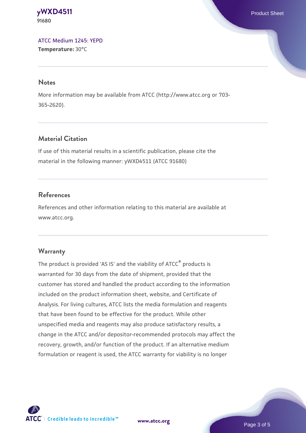**[yWXD4511](https://www.atcc.org/products/91680)** Product Sheet **91680**

[ATCC Medium 1245: YEPD](https://www.atcc.org/-/media/product-assets/documents/microbial-media-formulations/1/2/4/5/atcc-medium-1245.pdf?rev=705ca55d1b6f490a808a965d5c072196) **Temperature:** 30°C

#### **Notes**

More information may be available from ATCC (http://www.atcc.org or 703- 365-2620).

# **Material Citation**

If use of this material results in a scientific publication, please cite the material in the following manner: yWXD4511 (ATCC 91680)

# **References**

References and other information relating to this material are available at www.atcc.org.

### **Warranty**

The product is provided 'AS IS' and the viability of ATCC® products is warranted for 30 days from the date of shipment, provided that the customer has stored and handled the product according to the information included on the product information sheet, website, and Certificate of Analysis. For living cultures, ATCC lists the media formulation and reagents that have been found to be effective for the product. While other unspecified media and reagents may also produce satisfactory results, a change in the ATCC and/or depositor-recommended protocols may affect the recovery, growth, and/or function of the product. If an alternative medium formulation or reagent is used, the ATCC warranty for viability is no longer



**[www.atcc.org](http://www.atcc.org)**

Page 3 of 5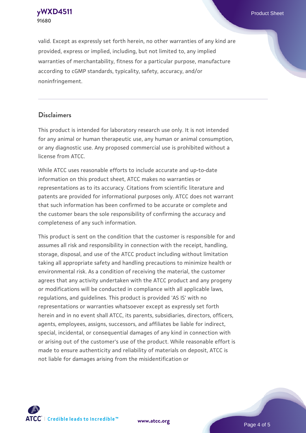**[yWXD4511](https://www.atcc.org/products/91680)** Product Sheet **91680**

valid. Except as expressly set forth herein, no other warranties of any kind are provided, express or implied, including, but not limited to, any implied warranties of merchantability, fitness for a particular purpose, manufacture according to cGMP standards, typicality, safety, accuracy, and/or noninfringement.

#### **Disclaimers**

This product is intended for laboratory research use only. It is not intended for any animal or human therapeutic use, any human or animal consumption, or any diagnostic use. Any proposed commercial use is prohibited without a license from ATCC.

While ATCC uses reasonable efforts to include accurate and up-to-date information on this product sheet, ATCC makes no warranties or representations as to its accuracy. Citations from scientific literature and patents are provided for informational purposes only. ATCC does not warrant that such information has been confirmed to be accurate or complete and the customer bears the sole responsibility of confirming the accuracy and completeness of any such information.

This product is sent on the condition that the customer is responsible for and assumes all risk and responsibility in connection with the receipt, handling, storage, disposal, and use of the ATCC product including without limitation taking all appropriate safety and handling precautions to minimize health or environmental risk. As a condition of receiving the material, the customer agrees that any activity undertaken with the ATCC product and any progeny or modifications will be conducted in compliance with all applicable laws, regulations, and guidelines. This product is provided 'AS IS' with no representations or warranties whatsoever except as expressly set forth herein and in no event shall ATCC, its parents, subsidiaries, directors, officers, agents, employees, assigns, successors, and affiliates be liable for indirect, special, incidental, or consequential damages of any kind in connection with or arising out of the customer's use of the product. While reasonable effort is made to ensure authenticity and reliability of materials on deposit, ATCC is not liable for damages arising from the misidentification or



**[www.atcc.org](http://www.atcc.org)**

Page 4 of 5